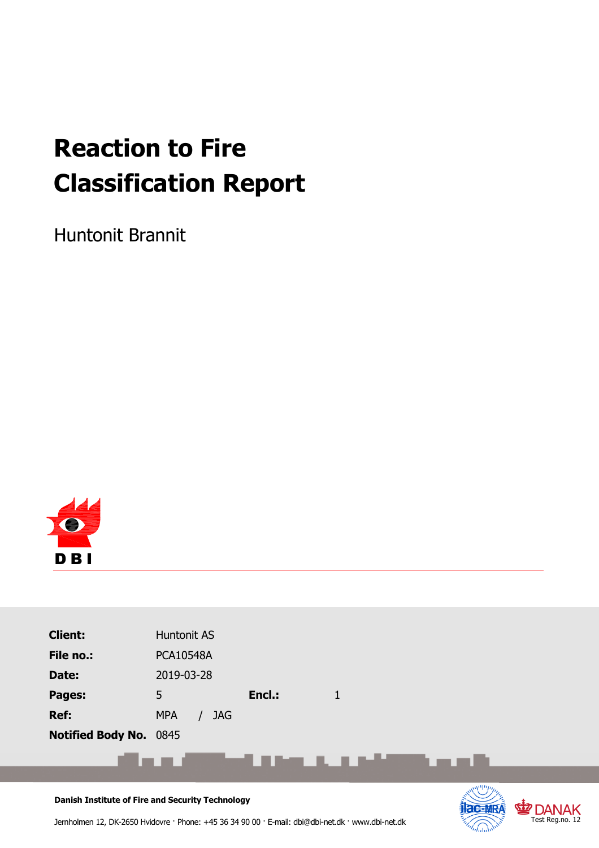# **Reaction to Fire Classification Report**

Huntonit Brannit



| <b>Client:</b>                                                   | Huntonit AS              |                             |             |  |
|------------------------------------------------------------------|--------------------------|-----------------------------|-------------|--|
| File no.:                                                        | <b>PCA10548A</b>         |                             |             |  |
| Date:                                                            | 2019-03-28               |                             |             |  |
| Pages:                                                           | 5                        | Encl.:                      | $\mathbf 1$ |  |
| Ref:                                                             | <b>MPA</b><br><b>JAG</b> |                             |             |  |
| Notified Body No. 0845                                           |                          |                             |             |  |
|                                                                  |                          | <u>with the contract of</u> |             |  |
|                                                                  |                          |                             |             |  |
| Providely The attitudes of Fine and Community Theology of a con- |                          |                             |             |  |

**Test Reg.no. 12** 

**Danish Institute of Fire and Security Technology**

Jernholmen 12, DK-2650 Hvidovre · Phone: +45 36 34 90 00 · E-mail: dbi@dbi-net.dk · www.dbi-net.dk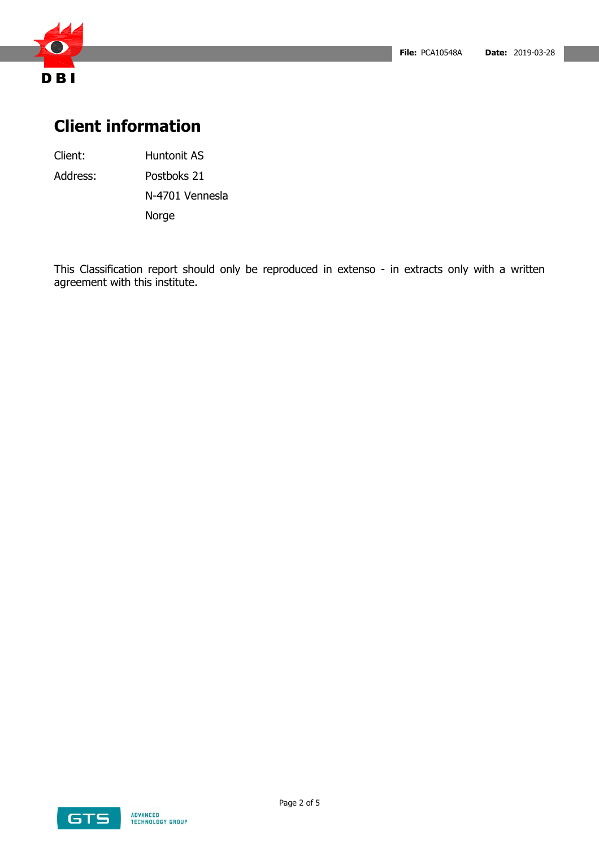

# **Client information**

Client: Huntonit AS

Address: Postboks 21

N-4701 Vennesla Norge

This Classification report should only be reproduced in extenso - in extracts only with a written agreement with this institute.

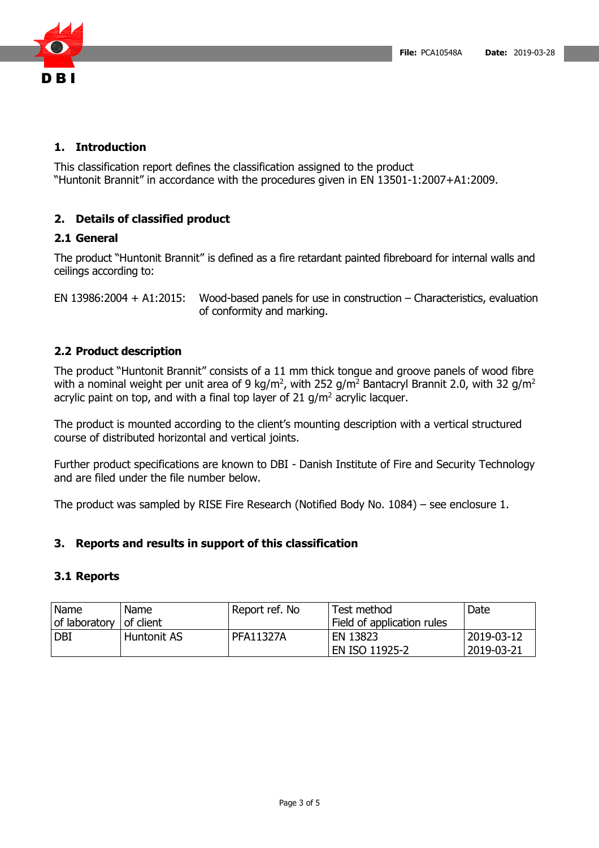

### **1. Introduction**

This classification report defines the classification assigned to the product "Huntonit Brannit" in accordance with the procedures given in EN 13501-1:2007+A1:2009.

## **2. Details of classified product**

#### **2.1 General**

The product "Huntonit Brannit" is defined as a fire retardant painted fibreboard for internal walls and ceilings according to:

EN 13986:2004 + A1:2015: Wood-based panels for use in construction – Characteristics, evaluation of conformity and marking.

#### **2.2 Product description**

The product "Huntonit Brannit" consists of a 11 mm thick tongue and groove panels of wood fibre with a nominal weight per unit area of 9 kg/m<sup>2</sup>, with 252 g/m<sup>2</sup> Bantacryl Brannit 2.0, with 32 g/m<sup>2</sup> acrylic paint on top, and with a final top layer of 21  $g/m^2$  acrylic lacquer.

The product is mounted according to the client's mounting description with a vertical structured course of distributed horizontal and vertical joints.

Further product specifications are known to DBI - Danish Institute of Fire and Security Technology and are filed under the file number below.

The product was sampled by RISE Fire Research (Notified Body No. 1084) – see enclosure 1.

#### **3. Reports and results in support of this classification**

#### **3.1 Reports**

| Name          | Name        | Report ref. No   | Test method                | Date       |
|---------------|-------------|------------------|----------------------------|------------|
| of laboratory | of client   |                  | Field of application rules |            |
| I DBI         | Huntonit AS | <b>PFA11327A</b> | EN 13823                   | 2019-03-12 |
|               |             |                  | <b>EN ISO 11925-2</b>      | 2019-03-21 |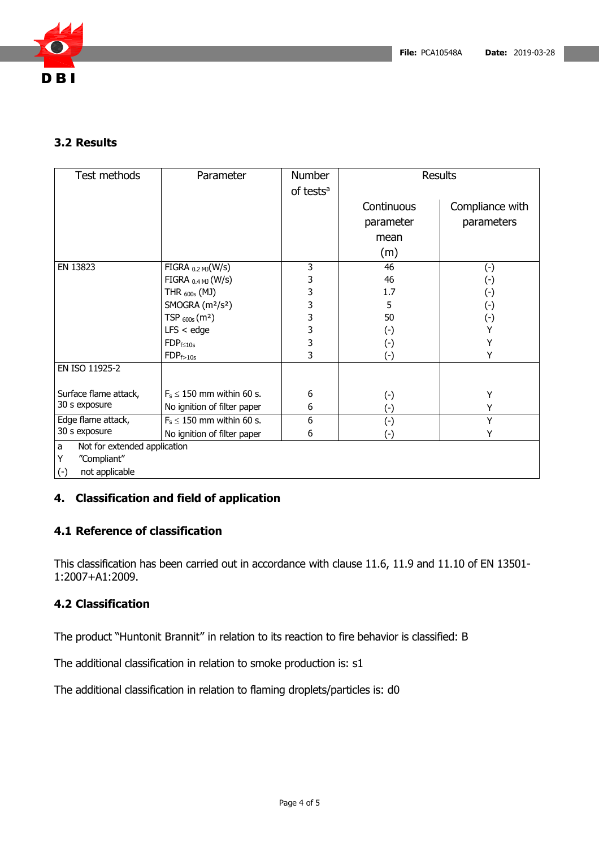

### **3.2 Results**

| Test methods                      | Parameter                                | Number<br>of tests <sup>a</sup> | <b>Results</b> |                 |
|-----------------------------------|------------------------------------------|---------------------------------|----------------|-----------------|
|                                   |                                          |                                 | Continuous     | Compliance with |
|                                   |                                          |                                 | parameter      | parameters      |
|                                   |                                          |                                 | mean           |                 |
|                                   |                                          |                                 | (m)            |                 |
| EN 13823                          | FIGRA $_{0.2 \text{ MJ}}(W/s)$           | 3                               | 46             | $(\cdot)$       |
|                                   | FIGRA $_{0.4}$ MJ (W/s)                  | 3                               | 46             | $(\cdot)$       |
|                                   | THR $_{600s}$ (MJ)                       | 3                               | 1.7            | $(\cdot)$       |
|                                   | SMOGRA (m <sup>2</sup> /s <sup>2</sup> ) | 3                               | 5              | $(\cdot)$       |
|                                   | TSP $_{600s}$ (m <sup>2</sup> )          | 3                               | 50             | $(\cdot)$       |
|                                   | $LFS <$ edge                             | 3                               | $(\cdot)$      | Y               |
|                                   | $FDP_{f \leq 10s}$                       | 3                               | $(\cdot)$      | Y               |
|                                   | $FDP_{f>10s}$                            | 3                               | $(\cdot)$      | Υ               |
| EN ISO 11925-2                    |                                          |                                 |                |                 |
| Surface flame attack,             | $F_s \leq 150$ mm within 60 s.           | 6                               | $(\cdot)$      | Y               |
| 30 s exposure                     | No ignition of filter paper              | 6                               | $(\cdot)$      | Y               |
| Edge flame attack,                | $F_s \leq 150$ mm within 60 s.           | 6                               | $(-)$          | Y               |
| 30 s exposure                     | No ignition of filter paper              | 6                               | $(\cdot)$      | Y               |
| Not for extended application<br>a |                                          |                                 |                |                 |
| "Compliant"<br>Y                  |                                          |                                 |                |                 |
| $(\cdot)$<br>not applicable       |                                          |                                 |                |                 |

## **4. Classification and field of application**

### **4.1 Reference of classification**

This classification has been carried out in accordance with clause 11.6, 11.9 and 11.10 of EN 13501- 1:2007+A1:2009.

## **4.2 Classification**

The product "Huntonit Brannit" in relation to its reaction to fire behavior is classified: B

The additional classification in relation to smoke production is: s1

The additional classification in relation to flaming droplets/particles is: d0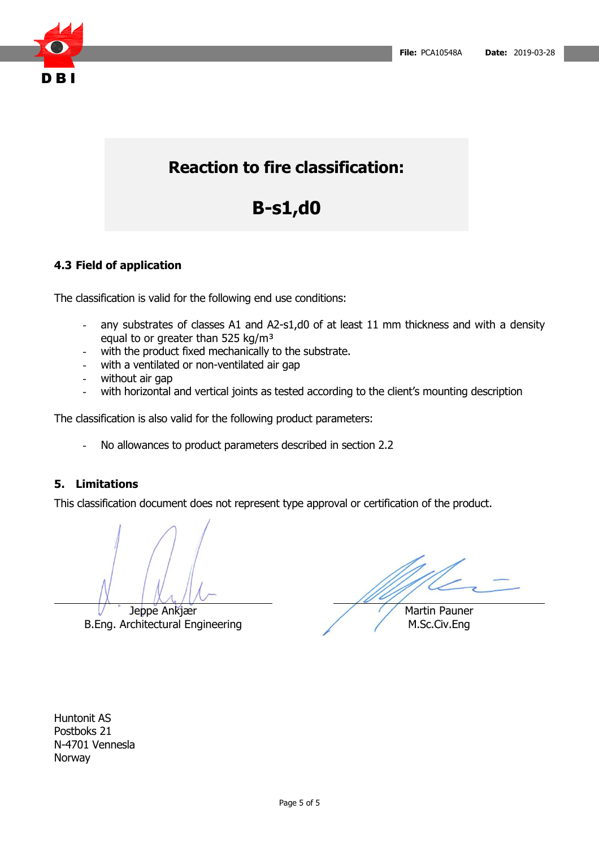

# **Reaction to fire classification:**

# **B-s1,d0**

# **4.3 Field of application**

The classification is valid for the following end use conditions:

- any substrates of classes A1 and A2-s1,d0 of at least 11 mm thickness and with a density equal to or greater than 525 kg/m<sup>3</sup>
- with the product fixed mechanically to the substrate.
- with a ventilated or non-ventilated air gap
- without air gap
- with horizontal and vertical joints as tested according to the client's mounting description

The classification is also valid for the following product parameters:

- No allowances to product parameters described in section 2.2

#### **5. Limitations**

This classification document does not represent type approval or certification of the product.

Jeppe Ankjær B.Eng. Architectural Engineering

Martin Pauner M.Sc.Civ.Eng

Huntonit AS Postboks 21 N-4701 Vennesla Norway